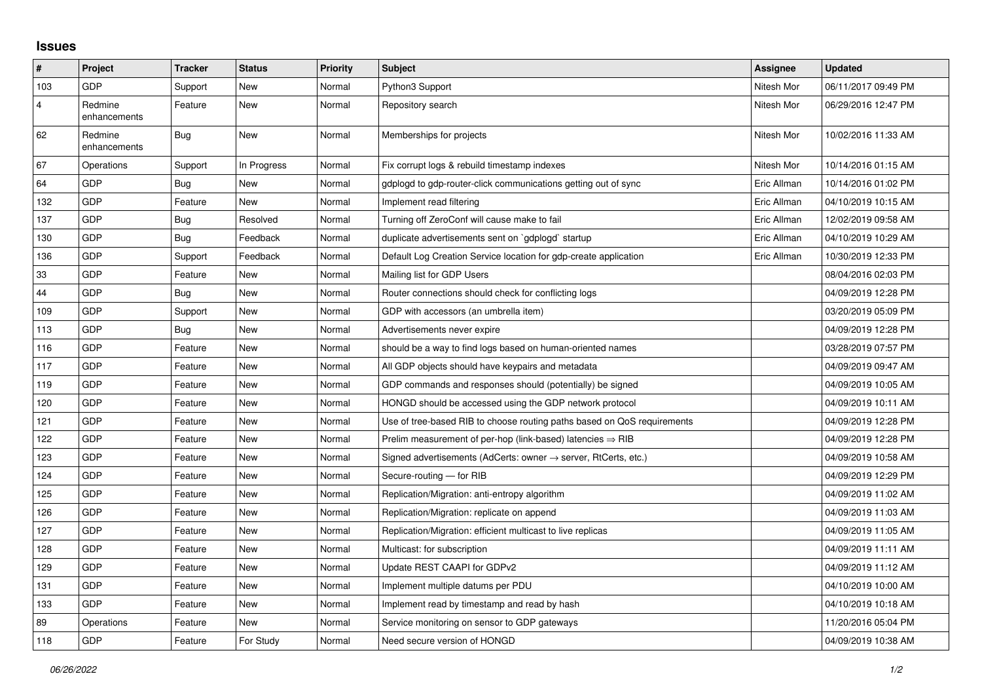## **Issues**

| $\vert$ #      | Project                 | <b>Tracker</b> | <b>Status</b> | <b>Priority</b> | <b>Subject</b>                                                             | Assignee    | <b>Updated</b>      |
|----------------|-------------------------|----------------|---------------|-----------------|----------------------------------------------------------------------------|-------------|---------------------|
| 103            | GDP                     | Support        | New           | Normal          | Python3 Support                                                            | Nitesh Mor  | 06/11/2017 09:49 PM |
| $\overline{4}$ | Redmine<br>enhancements | Feature        | <b>New</b>    | Normal          | Repository search                                                          | Nitesh Mor  | 06/29/2016 12:47 PM |
| 62             | Redmine<br>enhancements | Bug            | New           | Normal          | Memberships for projects                                                   | Nitesh Mor  | 10/02/2016 11:33 AM |
| 67             | Operations              | Support        | In Progress   | Normal          | Fix corrupt logs & rebuild timestamp indexes                               | Nitesh Mor  | 10/14/2016 01:15 AM |
| 64             | GDP                     | Bug            | New           | Normal          | gdplogd to gdp-router-click communications getting out of sync             | Eric Allman | 10/14/2016 01:02 PM |
| 132            | GDP                     | Feature        | <b>New</b>    | Normal          | Implement read filtering                                                   | Eric Allman | 04/10/2019 10:15 AM |
| 137            | GDP                     | <b>Bug</b>     | Resolved      | Normal          | Turning off ZeroConf will cause make to fail                               | Eric Allman | 12/02/2019 09:58 AM |
| 130            | GDP                     | <b>Bug</b>     | Feedback      | Normal          | duplicate advertisements sent on `gdplogd` startup                         | Eric Allman | 04/10/2019 10:29 AM |
| 136            | GDP                     | Support        | Feedback      | Normal          | Default Log Creation Service location for gdp-create application           | Eric Allman | 10/30/2019 12:33 PM |
| 33             | GDP                     | Feature        | New           | Normal          | Mailing list for GDP Users                                                 |             | 08/04/2016 02:03 PM |
| 44             | GDP                     | Bug            | New           | Normal          | Router connections should check for conflicting logs                       |             | 04/09/2019 12:28 PM |
| 109            | GDP                     | Support        | New           | Normal          | GDP with accessors (an umbrella item)                                      |             | 03/20/2019 05:09 PM |
| 113            | GDP                     | Bug            | New           | Normal          | Advertisements never expire                                                |             | 04/09/2019 12:28 PM |
| 116            | GDP                     | Feature        | <b>New</b>    | Normal          | should be a way to find logs based on human-oriented names                 |             | 03/28/2019 07:57 PM |
| 117            | GDP                     | Feature        | New           | Normal          | All GDP objects should have keypairs and metadata                          |             | 04/09/2019 09:47 AM |
| 119            | GDP                     | Feature        | <b>New</b>    | Normal          | GDP commands and responses should (potentially) be signed                  |             | 04/09/2019 10:05 AM |
| 120            | GDP                     | Feature        | New           | Normal          | HONGD should be accessed using the GDP network protocol                    |             | 04/09/2019 10:11 AM |
| 121            | GDP                     | Feature        | <b>New</b>    | Normal          | Use of tree-based RIB to choose routing paths based on QoS requirements    |             | 04/09/2019 12:28 PM |
| 122            | GDP                     | Feature        | New           | Normal          | Prelim measurement of per-hop (link-based) latencies $\Rightarrow$ RIB     |             | 04/09/2019 12:28 PM |
| 123            | GDP                     | Feature        | New           | Normal          | Signed advertisements (AdCerts: owner $\rightarrow$ server, RtCerts, etc.) |             | 04/09/2019 10:58 AM |
| 124            | GDP                     | Feature        | <b>New</b>    | Normal          | Secure-routing - for RIB                                                   |             | 04/09/2019 12:29 PM |
| 125            | GDP                     | Feature        | New           | Normal          | Replication/Migration: anti-entropy algorithm                              |             | 04/09/2019 11:02 AM |
| 126            | <b>GDP</b>              | Feature        | New           | Normal          | Replication/Migration: replicate on append                                 |             | 04/09/2019 11:03 AM |
| 127            | GDP                     | Feature        | <b>New</b>    | Normal          | Replication/Migration: efficient multicast to live replicas                |             | 04/09/2019 11:05 AM |
| 128            | GDP                     | Feature        | New           | Normal          | Multicast: for subscription                                                |             | 04/09/2019 11:11 AM |
| 129            | GDP                     | Feature        | New           | Normal          | Update REST CAAPI for GDPv2                                                |             | 04/09/2019 11:12 AM |
| 131            | GDP                     | Feature        | New           | Normal          | Implement multiple datums per PDU                                          |             | 04/10/2019 10:00 AM |
| 133            | GDP                     | Feature        | New           | Normal          | Implement read by timestamp and read by hash                               |             | 04/10/2019 10:18 AM |
| 89             | Operations              | Feature        | New           | Normal          | Service monitoring on sensor to GDP gateways                               |             | 11/20/2016 05:04 PM |
| 118            | GDP                     | Feature        | For Study     | Normal          | Need secure version of HONGD                                               |             | 04/09/2019 10:38 AM |